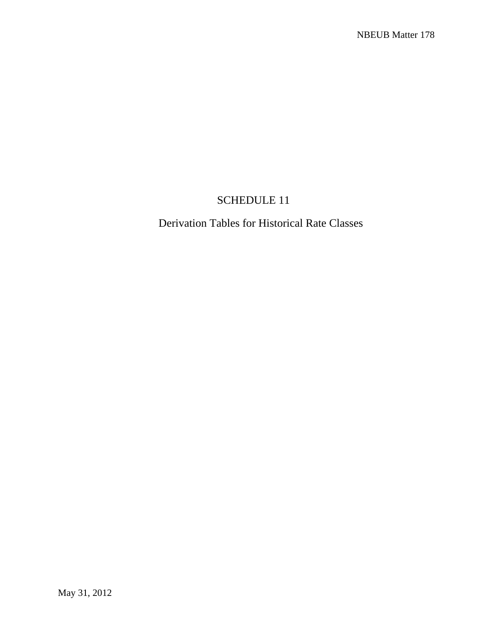## SCHEDULE 11

Derivation Tables for Historical Rate Classes